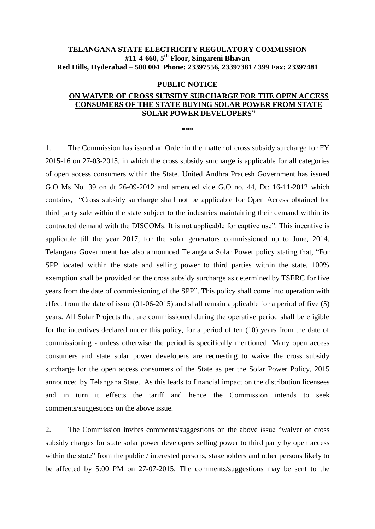## **TELANGANA STATE ELECTRICITY REGULATORY COMMISSION #11-4-660, 5 th Floor, Singareni Bhavan Red Hills, Hyderabad – 500 004 Phone: 23397556, 23397381 / 399 Fax: 23397481**

## **PUBLIC NOTICE**

## **ON WAIVER OF CROSS SUBSIDY SURCHARGE FOR THE OPEN ACCESS CONSUMERS OF THE STATE BUYING SOLAR POWER FROM STATE SOLAR POWER DEVELOPERS"**

\*\*\*

1. The Commission has issued an Order in the matter of cross subsidy surcharge for FY 2015-16 on 27-03-2015, in which the cross subsidy surcharge is applicable for all categories of open access consumers within the State. United Andhra Pradesh Government has issued G.O Ms No. 39 on dt 26-09-2012 and amended vide G.O no. 44, Dt: 16-11-2012 which contains, "Cross subsidy surcharge shall not be applicable for Open Access obtained for third party sale within the state subject to the industries maintaining their demand within its contracted demand with the DISCOMs. It is not applicable for captive use". This incentive is applicable till the year 2017, for the solar generators commissioned up to June, 2014. Telangana Government has also announced Telangana Solar Power policy stating that, "For SPP located within the state and selling power to third parties within the state, 100% exemption shall be provided on the cross subsidy surcharge as determined by TSERC for five years from the date of commissioning of the SPP". This policy shall come into operation with effect from the date of issue (01-06-2015) and shall remain applicable for a period of five (5) years. All Solar Projects that are commissioned during the operative period shall be eligible for the incentives declared under this policy, for a period of ten (10) years from the date of commissioning - unless otherwise the period is specifically mentioned. Many open access consumers and state solar power developers are requesting to waive the cross subsidy surcharge for the open access consumers of the State as per the Solar Power Policy, 2015 announced by Telangana State. As this leads to financial impact on the distribution licensees and in turn it effects the tariff and hence the Commission intends to seek comments/suggestions on the above issue.

2. The Commission invites comments/suggestions on the above issue "waiver of cross subsidy charges for state solar power developers selling power to third party by open access within the state" from the public / interested persons, stakeholders and other persons likely to be affected by 5:00 PM on 27-07-2015. The comments/suggestions may be sent to the